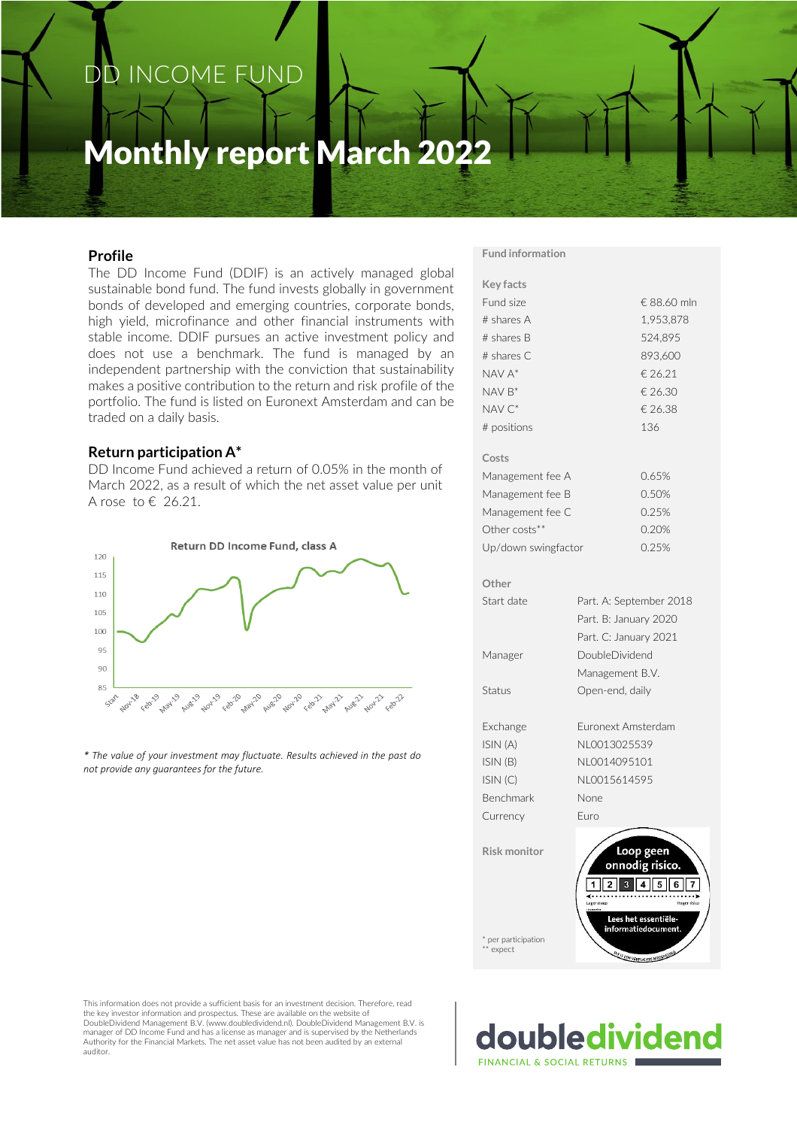# DD INCOME FUND

# Monthly report March 2022

## **Profile**

The DD Income Fund (DDIF) is an actively managed global sustainable bond fund. The fund invests globally in government bonds of developed and emerging countries, corporate bonds, high yield, microfinance and other financial instruments with stable income. DDIF pursues an active investment policy and does not use a benchmark. The fund is managed by an independent partnership with the conviction that sustainability makes a positive contribution to the return and risk profile of the portfolio. The fund is listed on Euronext Amsterdam and can be traded on a daily basis.

#### **Return participation A\***

DD Income Fund achieved a return of 0.05% in the month of March 2022, as a result of which the net asset value per unit A rose to  $\epsilon$  26.21.



*\* The value of your investment may fluctuate. Results achieved in the past do not provide any guarantees for the future.*

#### **Fund information**

| <b>Key facts</b>    |                               |  |  |  |  |  |
|---------------------|-------------------------------|--|--|--|--|--|
| Fund size           | € 88.60 mln                   |  |  |  |  |  |
| $#$ shares A        | 1,953,878                     |  |  |  |  |  |
| # shares B          | 524,895                       |  |  |  |  |  |
| # shares C          | 893,600                       |  |  |  |  |  |
| $NAV A^*$           | € 26.21                       |  |  |  |  |  |
| $NAV B^*$           | € 26.30                       |  |  |  |  |  |
| NAV <sub>C</sub> *  | € 26.38                       |  |  |  |  |  |
| # positions         | 136                           |  |  |  |  |  |
| Costs               |                               |  |  |  |  |  |
| Management fee A    | 0.65%                         |  |  |  |  |  |
| Management fee B    | 0.50%                         |  |  |  |  |  |
| Management fee C    | 0.25%                         |  |  |  |  |  |
| Other costs**       | 0.20%                         |  |  |  |  |  |
| Up/down swingfactor | 0.25%                         |  |  |  |  |  |
| Other               |                               |  |  |  |  |  |
| Start date          | Part. A: September 2018       |  |  |  |  |  |
|                     | Part. B: January 2020         |  |  |  |  |  |
|                     | Part. C: January 2021         |  |  |  |  |  |
| Manager             | DoubleDividend                |  |  |  |  |  |
|                     | Management B.V.               |  |  |  |  |  |
| Status              | Open-end, daily               |  |  |  |  |  |
| Exchange            | Euronext Amsterdam            |  |  |  |  |  |
| ISIN (A)            | NL0013025539                  |  |  |  |  |  |
| ISIN(B)             | NI 0014095101                 |  |  |  |  |  |
| ISIN(C)             | NL0015614595                  |  |  |  |  |  |
| <b>Benchmark</b>    | None                          |  |  |  |  |  |
| Currency            | Furo                          |  |  |  |  |  |
| <b>Risk monitor</b> | Loop geen                     |  |  |  |  |  |
|                     | onnodig risico.               |  |  |  |  |  |
|                     | $\overline{2}$<br>3<br>5<br>6 |  |  |  |  |  |
|                     |                               |  |  |  |  |  |
|                     | Lees het essentiële-          |  |  |  |  |  |

\* per participation \* expect

This information does not provide a sufficient basis for an investment decision. Therefore, read the key investor information and prospectus. These are available on the website of DoubleDividend Management B.V. (www.doubledividend.nl). DoubleDividend Management B.V. is manager of DD Income Fund and has a license as manager and is supervised by the Netherlands Authority for the Financial Markets. The net asset value has not been audited by an external auditor.

\* per participation l estimate **FINANCIAL & SOCIAL RETURNS**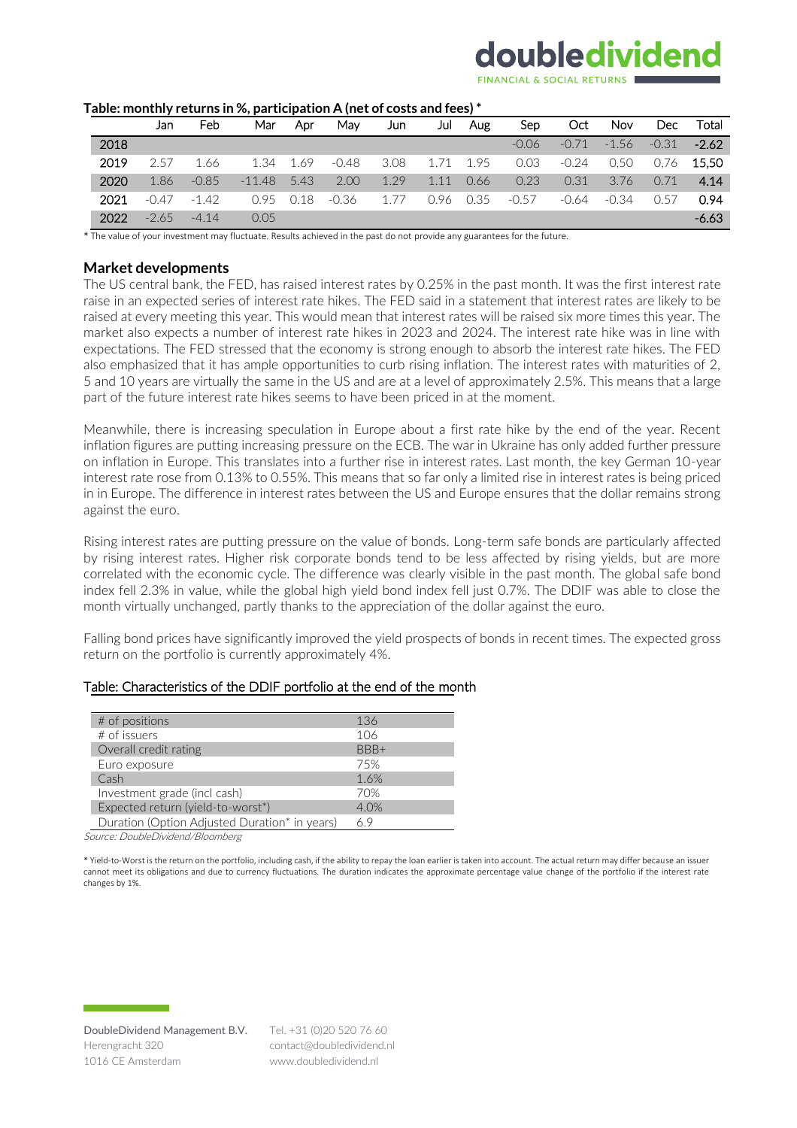# doubledividend

| rable. Monthly Feturiis III 70, participation A (net or costs and rees) |      |         |         |          |      |         |      |      |      |         |         |         |            |         |
|-------------------------------------------------------------------------|------|---------|---------|----------|------|---------|------|------|------|---------|---------|---------|------------|---------|
|                                                                         |      | Jan     | Feb     | Mar      | Apr  | Mav     | Jun  | Jul  | Aug  | Sep     | Oct     | Nov     | <b>Dec</b> | Total   |
|                                                                         | 2018 |         |         |          |      |         |      |      |      | $-0.06$ | $-0.71$ | $-1.56$ | $-0.31$    | $-2.62$ |
|                                                                         | 2019 | 2.57    | 1.66    | 1.34     | 1.69 | $-0.48$ | 3.08 | 1.71 | 1.95 | 0.03    | $-0.24$ | 0.50    | 0.76       | 15.50   |
|                                                                         | 2020 | 1.86    | $-0.85$ | $-11.48$ | 5.43 | 2.00    | 1.29 | 1.11 | 0.66 | 0.23    | 0.31    | 3.76    | 0.71       | 4.14    |
|                                                                         | 2021 | $-0.47$ | $-1.42$ | 0.95     | 0.18 | $-0.36$ | 1.77 | 0.96 | 0.35 | $-0.57$ | -0.64   | $-0.34$ | 0.57       | 0.94    |
|                                                                         | 2022 | $-2.65$ | $-4.14$ | 0.05     |      |         |      |      |      |         |         |         |            | $-6.63$ |

#### **Table: monthly returns in %, participation A (net of costs and fees) \***

\* The value of your investment may fluctuate. Results achieved in the past do not provide any guarantees for the future.

#### **Market developments**

The US central bank, the FED, has raised interest rates by 0.25% in the past month. It was the first interest rate raise in an expected series of interest rate hikes. The FED said in a statement that interest rates are likely to be raised at every meeting this year. This would mean that interest rates will be raised six more times this year. The market also expects a number of interest rate hikes in 2023 and 2024. The interest rate hike was in line with expectations. The FED stressed that the economy is strong enough to absorb the interest rate hikes. The FED also emphasized that it has ample opportunities to curb rising inflation. The interest rates with maturities of 2, 5 and 10 years are virtually the same in the US and are at a level of approximately 2.5%. This means that a large part of the future interest rate hikes seems to have been priced in at the moment.

Meanwhile, there is increasing speculation in Europe about a first rate hike by the end of the year. Recent inflation figures are putting increasing pressure on the ECB. The war in Ukraine has only added further pressure on inflation in Europe. This translates into a further rise in interest rates. Last month, the key German 10-year interest rate rose from 0.13% to 0.55%. This means that so far only a limited rise in interest rates is being priced in in Europe. The difference in interest rates between the US and Europe ensures that the dollar remains strong against the euro.

Rising interest rates are putting pressure on the value of bonds. Long-term safe bonds are particularly affected by rising interest rates. Higher risk corporate bonds tend to be less affected by rising yields, but are more correlated with the economic cycle. The difference was clearly visible in the past month. The global safe bond index fell 2.3% in value, while the global high yield bond index fell just 0.7%. The DDIF was able to close the month virtually unchanged, partly thanks to the appreciation of the dollar against the euro.

Falling bond prices have significantly improved the yield prospects of bonds in recent times. The expected gross return on the portfolio is currently approximately 4%.

#### Table: Characteristics of the DDIF portfolio at the end of the month

| # of positions                                | 136  |
|-----------------------------------------------|------|
| $#$ of issuers                                | 106  |
| Overall credit rating                         | BBB+ |
| Euro exposure                                 | 75%  |
| Cash                                          | 1.6% |
| Investment grade (incl cash)                  | 70%  |
| Expected return (yield-to-worst*)             | 4.0% |
| Duration (Option Adjusted Duration* in years) | 69   |

Source: DoubleDividend/Bloomberg

\* Yield-to-Worst is the return on the portfolio, including cash, if the ability to repay the loan earlier is taken into account. The actual return may differ because an issuer cannot meet its obligations and due to currency fluctuations. The duration indicates the approximate percentage value change of the portfolio if the interest rate changes by 1%.

Tel. +31 (0)20 520 76 60 contact@doubledividend.nl www.doubledividend.nl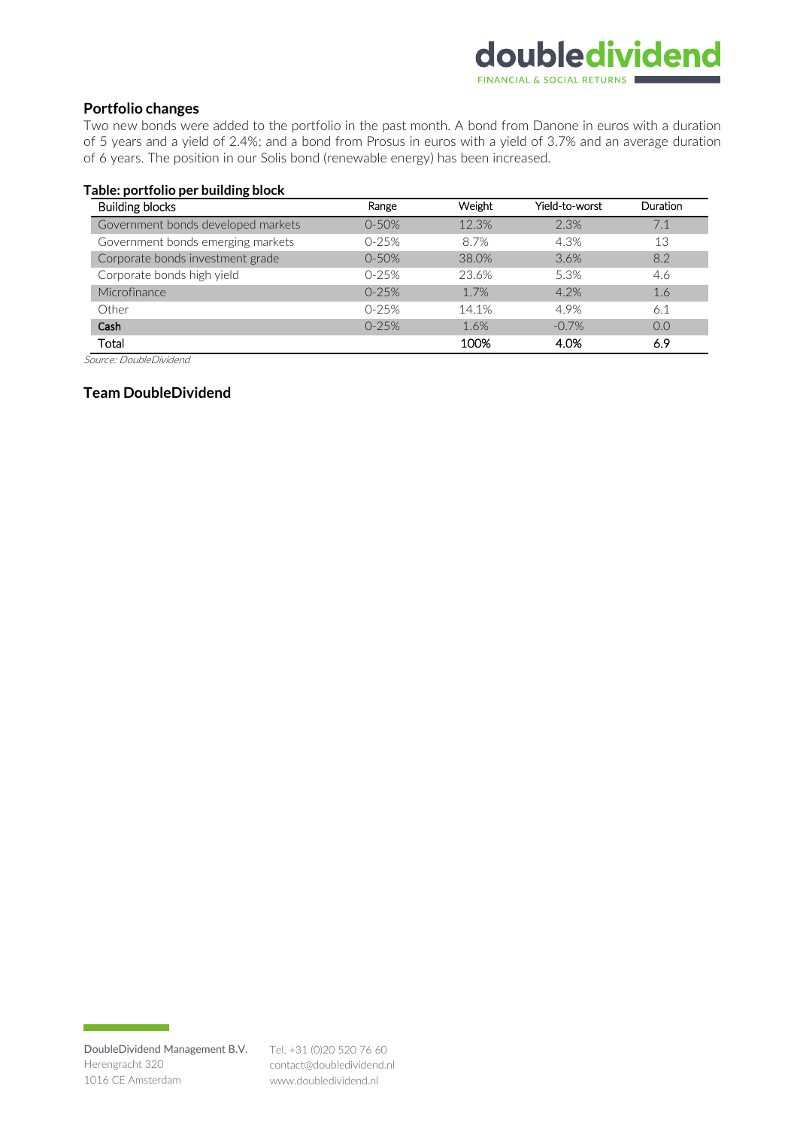# doubledividend FINANCIAL & SOCIAL RETURNS

### **Portfolio changes**

Two new bonds were added to the portfolio in the past month. A bond from Danone in euros with a duration of 5 years and a yield of 2.4%; and a bond from Prosus in euros with a yield of 3.7% and an average duration of 6 years. The position in our Solis bond (renewable energy) has been increased.

#### **Table: portfolio per building block**

| <b>Building blocks</b>             | Range     | <b>Weight</b> | Yield-to-worst | <b>Duration</b> |
|------------------------------------|-----------|---------------|----------------|-----------------|
| Government bonds developed markets | $0 - 50%$ | 12.3%         | 2.3%           |                 |
| Government bonds emerging markets  | $0-25%$   | 8.7%          | 4.3%           | 13              |
| Corporate bonds investment grade   | $0 - 50%$ | 38.0%         | 3.6%           | 8.2             |
| Corporate bonds high yield         | $0-25%$   | 23.6%         | 5.3%           | 4.6             |
| Microfinance                       | $0-25%$   | 1.7%          | 4.2%           | 1.6             |
| Other                              | $0-25%$   | 14.1%         | 4.9%           | 6.1             |
| Cash                               | $0 - 25%$ | 1.6%          | $-0.7%$        | 0.0             |
| Total                              |           | 100%          | 4.0%           | 6.9             |

Source: DoubleDividend

### **Team DoubleDividend**

contact@doubledividend.nl www.doubledividend.nl